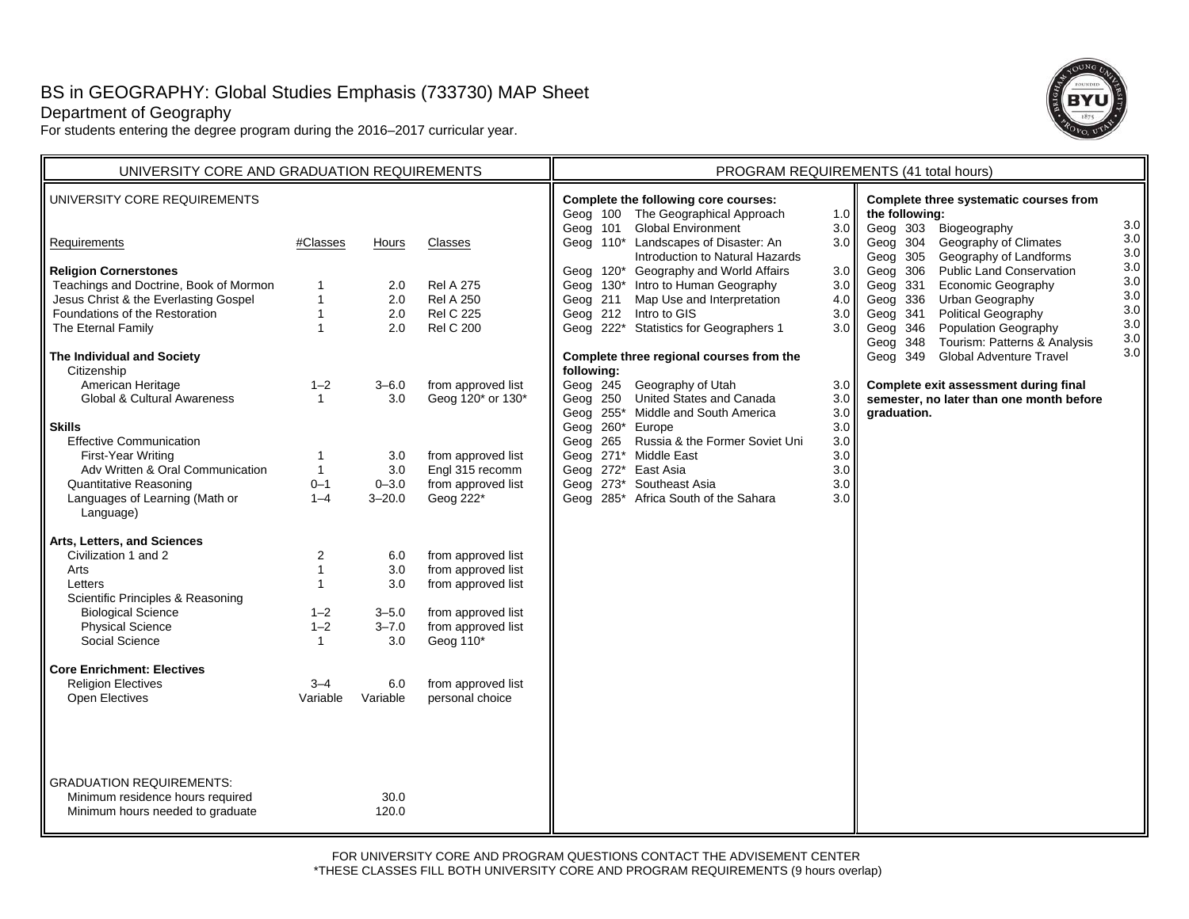# BS in GEOGRAPHY: Global Studies Emphasis (733730) MAP Sheet

# Department of Geography

For students entering the degree program during the 2016–2017 curricular year.



| UNIVERSITY CORE AND GRADUATION REQUIREMENTS                                                                                                                                                                                                                                                                                                                                                                                                                                                                                                                                                                                                                                                                                                                   |                                                                                                                                                                                                                                                 |                                                                                                                                                                |                                                                                                                                                                                                                                                                                                                                                                         | PROGRAM REQUIREMENTS (41 total hours)                                                                                                                                                                                                                                                                                                                                                                                                                                                                                                                                                                                                                                                                                                                                                                                                                                                                                                                                                                                                                                                                                   |  |  |  |
|---------------------------------------------------------------------------------------------------------------------------------------------------------------------------------------------------------------------------------------------------------------------------------------------------------------------------------------------------------------------------------------------------------------------------------------------------------------------------------------------------------------------------------------------------------------------------------------------------------------------------------------------------------------------------------------------------------------------------------------------------------------|-------------------------------------------------------------------------------------------------------------------------------------------------------------------------------------------------------------------------------------------------|----------------------------------------------------------------------------------------------------------------------------------------------------------------|-------------------------------------------------------------------------------------------------------------------------------------------------------------------------------------------------------------------------------------------------------------------------------------------------------------------------------------------------------------------------|-------------------------------------------------------------------------------------------------------------------------------------------------------------------------------------------------------------------------------------------------------------------------------------------------------------------------------------------------------------------------------------------------------------------------------------------------------------------------------------------------------------------------------------------------------------------------------------------------------------------------------------------------------------------------------------------------------------------------------------------------------------------------------------------------------------------------------------------------------------------------------------------------------------------------------------------------------------------------------------------------------------------------------------------------------------------------------------------------------------------------|--|--|--|
| UNIVERSITY CORE REQUIREMENTS                                                                                                                                                                                                                                                                                                                                                                                                                                                                                                                                                                                                                                                                                                                                  |                                                                                                                                                                                                                                                 |                                                                                                                                                                |                                                                                                                                                                                                                                                                                                                                                                         | Complete the following core courses:<br>Complete three systematic courses from<br>Geog 100 The Geographical Approach<br>the following:<br>1.0 $\blacksquare$                                                                                                                                                                                                                                                                                                                                                                                                                                                                                                                                                                                                                                                                                                                                                                                                                                                                                                                                                            |  |  |  |
| Requirements                                                                                                                                                                                                                                                                                                                                                                                                                                                                                                                                                                                                                                                                                                                                                  | #Classes                                                                                                                                                                                                                                        | <b>Hours</b>                                                                                                                                                   | Classes                                                                                                                                                                                                                                                                                                                                                                 | 3.0<br><b>Global Environment</b><br>Geog 303<br>Biogeography<br>3.0<br>Geog 101<br>3.0 II<br>Geog 110* Landscapes of Disaster: An<br>Geog 304<br>Geography of Climates<br>3.0<br>3.0<br>Introduction to Natural Hazards<br>Geog 305<br>Geography of Landforms                                                                                                                                                                                                                                                                                                                                                                                                                                                                                                                                                                                                                                                                                                                                                                                                                                                           |  |  |  |
| <b>Religion Cornerstones</b><br>Teachings and Doctrine, Book of Mormon<br>Jesus Christ & the Everlasting Gospel<br>Foundations of the Restoration<br>The Eternal Family<br>The Individual and Society<br>Citizenship<br>American Heritage<br><b>Global &amp; Cultural Awareness</b><br><b>Skills</b><br><b>Effective Communication</b><br>First-Year Writing<br>Adv Written & Oral Communication<br><b>Quantitative Reasoning</b><br>Languages of Learning (Math or<br>Language)<br>Arts, Letters, and Sciences<br>Civilization 1 and 2<br>Arts<br>Letters<br>Scientific Principles & Reasoning<br><b>Biological Science</b><br><b>Physical Science</b><br>Social Science<br><b>Core Enrichment: Electives</b><br><b>Religion Electives</b><br>Open Electives | $\mathbf{1}$<br>$\mathbf{1}$<br>$\mathbf{1}$<br>$\mathbf{1}$<br>$1 - 2$<br>$\mathbf{1}$<br>$\mathbf{1}$<br>$\mathbf{1}$<br>$0 - 1$<br>$1 - 4$<br>2<br>$\mathbf{1}$<br>$\mathbf{1}$<br>$1 - 2$<br>$1 - 2$<br>$\mathbf{1}$<br>$3 - 4$<br>Variable | 2.0<br>2.0<br>2.0<br>2.0<br>$3 - 6.0$<br>3.0<br>3.0<br>3.0<br>$0 - 3.0$<br>$3 - 20.0$<br>6.0<br>3.0<br>3.0<br>$3 - 5.0$<br>$3 - 7.0$<br>3.0<br>6.0<br>Variable | <b>Rel A 275</b><br><b>Rel A 250</b><br><b>Rel C 225</b><br><b>Rel C 200</b><br>from approved list<br>Geog 120* or 130*<br>from approved list<br>Engl 315 recomm<br>from approved list<br>Geog 222*<br>from approved list<br>from approved list<br>from approved list<br>from approved list<br>from approved list<br>Geog 110*<br>from approved list<br>personal choice | 3.0<br>Geog 120* Geography and World Affairs<br>Geog 306<br><b>Public Land Conservation</b><br>3.0<br>3.0 II<br>Economic Geography<br>Geog 130* Intro to Human Geography<br>Geog 331<br>3.0<br>3.0<br>Map Use and Interpretation<br>Geog 336<br>Urban Geography<br>Geog 211<br>4.0<br>3.0<br>Geog 212 Intro to GIS<br>Political Geography<br>Geog 341<br>3.0<br>3.0<br>Population Geography<br>Geog 222* Statistics for Geographers 1<br>$3.0\text{ }$<br>Geog 346<br>3.0 <sub>1</sub><br>Tourism: Patterns & Analysis<br>Geog 348<br>3.0 II<br><b>Global Adventure Travel</b><br>Complete three regional courses from the<br>Geog 349<br>following:<br>Geog 245 Geography of Utah<br>Complete exit assessment during final<br>$3.0\,$<br>Geog 250 United States and Canada<br>semester, no later than one month before<br>3.0<br>Geog 255* Middle and South America<br>3.0<br>graduation.<br>Geog 260* Europe<br>3.0<br>Geog 265 Russia & the Former Soviet Uni<br>3.0<br>Geog 271* Middle East<br>3.0<br>Geog 272* East Asia<br>3.0<br>Geog 273* Southeast Asia<br>3.0<br>Geog 285* Africa South of the Sahara<br>3.0 |  |  |  |
| <b>GRADUATION REQUIREMENTS:</b><br>Minimum residence hours required<br>Minimum hours needed to graduate                                                                                                                                                                                                                                                                                                                                                                                                                                                                                                                                                                                                                                                       |                                                                                                                                                                                                                                                 | 30.0<br>120.0                                                                                                                                                  |                                                                                                                                                                                                                                                                                                                                                                         |                                                                                                                                                                                                                                                                                                                                                                                                                                                                                                                                                                                                                                                                                                                                                                                                                                                                                                                                                                                                                                                                                                                         |  |  |  |